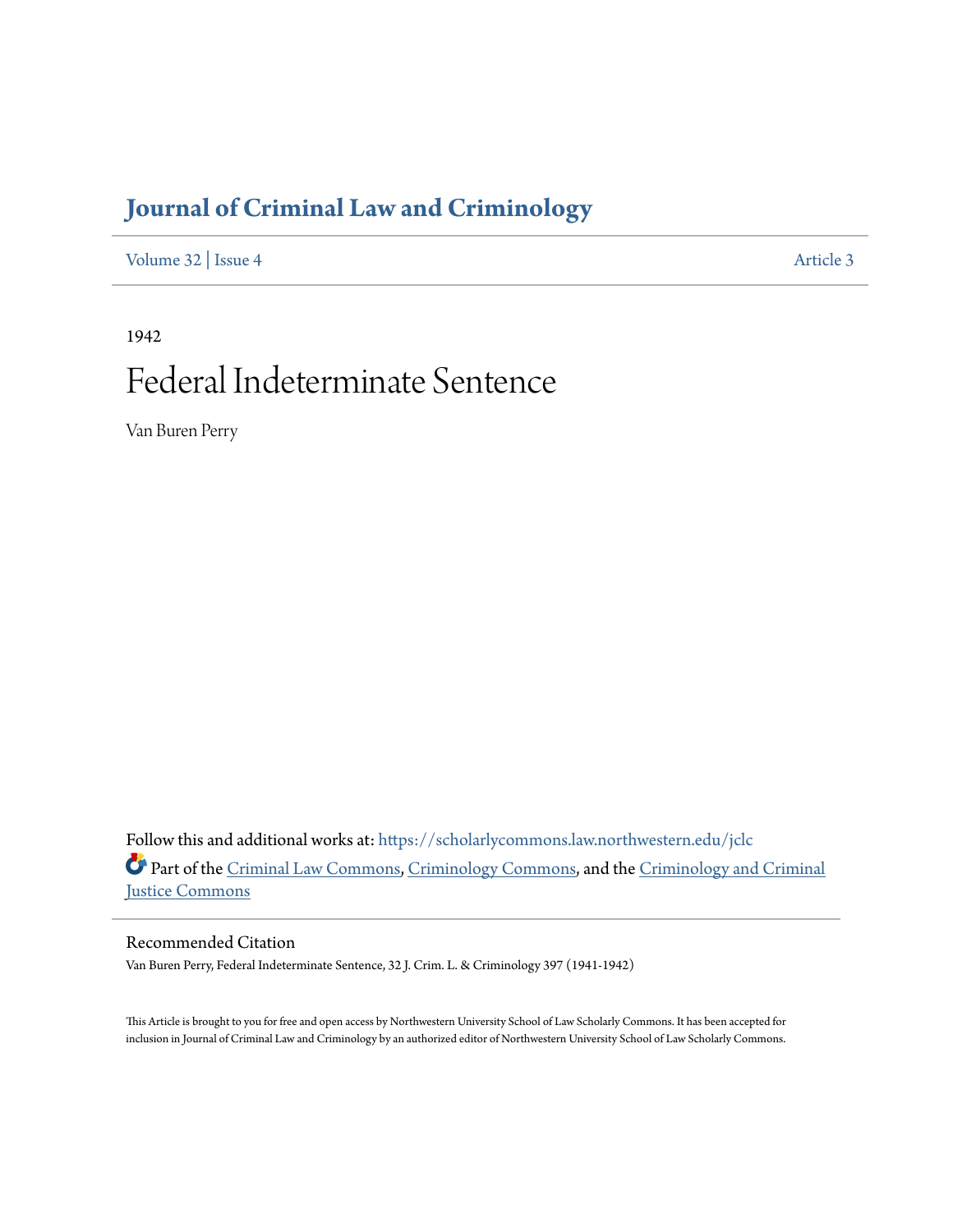# **[Journal of Criminal Law and Criminology](https://scholarlycommons.law.northwestern.edu/jclc?utm_source=scholarlycommons.law.northwestern.edu%2Fjclc%2Fvol32%2Fiss4%2F3&utm_medium=PDF&utm_campaign=PDFCoverPages)**

[Volume 32](https://scholarlycommons.law.northwestern.edu/jclc/vol32?utm_source=scholarlycommons.law.northwestern.edu%2Fjclc%2Fvol32%2Fiss4%2F3&utm_medium=PDF&utm_campaign=PDFCoverPages) | [Issue 4](https://scholarlycommons.law.northwestern.edu/jclc/vol32/iss4?utm_source=scholarlycommons.law.northwestern.edu%2Fjclc%2Fvol32%2Fiss4%2F3&utm_medium=PDF&utm_campaign=PDFCoverPages) [Article 3](https://scholarlycommons.law.northwestern.edu/jclc/vol32/iss4/3?utm_source=scholarlycommons.law.northwestern.edu%2Fjclc%2Fvol32%2Fiss4%2F3&utm_medium=PDF&utm_campaign=PDFCoverPages)

1942 Federal Indeterminate Sentence

Van Buren Perry

Follow this and additional works at: [https://scholarlycommons.law.northwestern.edu/jclc](https://scholarlycommons.law.northwestern.edu/jclc?utm_source=scholarlycommons.law.northwestern.edu%2Fjclc%2Fvol32%2Fiss4%2F3&utm_medium=PDF&utm_campaign=PDFCoverPages) Part of the [Criminal Law Commons](http://network.bepress.com/hgg/discipline/912?utm_source=scholarlycommons.law.northwestern.edu%2Fjclc%2Fvol32%2Fiss4%2F3&utm_medium=PDF&utm_campaign=PDFCoverPages), [Criminology Commons](http://network.bepress.com/hgg/discipline/417?utm_source=scholarlycommons.law.northwestern.edu%2Fjclc%2Fvol32%2Fiss4%2F3&utm_medium=PDF&utm_campaign=PDFCoverPages), and the [Criminology and Criminal](http://network.bepress.com/hgg/discipline/367?utm_source=scholarlycommons.law.northwestern.edu%2Fjclc%2Fvol32%2Fiss4%2F3&utm_medium=PDF&utm_campaign=PDFCoverPages) [Justice Commons](http://network.bepress.com/hgg/discipline/367?utm_source=scholarlycommons.law.northwestern.edu%2Fjclc%2Fvol32%2Fiss4%2F3&utm_medium=PDF&utm_campaign=PDFCoverPages)

Recommended Citation

Van Buren Perry, Federal Indeterminate Sentence, 32 J. Crim. L. & Criminology 397 (1941-1942)

This Article is brought to you for free and open access by Northwestern University School of Law Scholarly Commons. It has been accepted for inclusion in Journal of Criminal Law and Criminology by an authorized editor of Northwestern University School of Law Scholarly Commons.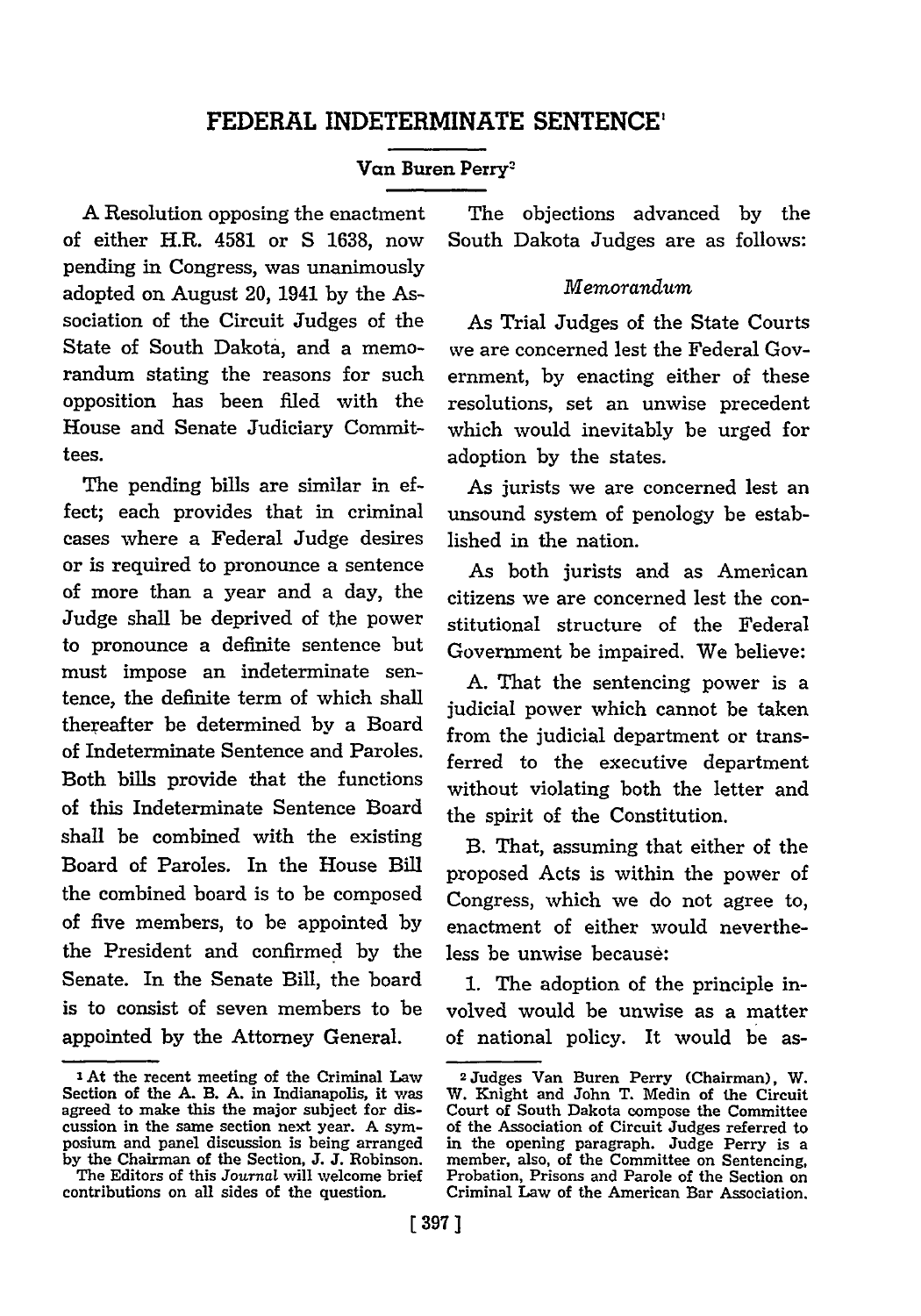## FEDERAL **INDETERMINATE SENTENCE'**

### Van Buren Perry2

A Resolution opposing the enactment of either H.R. 4581 or S 1638, now pending in Congress, was unanimously adopted on August 20, 1941 by the Association of the Circuit Judges of the State of South Dakota, and a memorandum stating the reasons for such opposition has been filed with the House and Senate Judiciary Committees.

The pending bills are similar in effect; each provides that in criminal cases where a Federal Judge desires or is required to pronounce a sentence of more than a year and a day, the Judge shall be deprived of the power to pronounce a definite sentence but must impose an indeterminate sentence, the definite term of which shall thereafter be determined by a Board of Indeterminate Sentence and Paroles. Both bills provide that the functions of this Indeterminate Sentence Board shall be combined with the existing Board of Paroles. In the House Bill the combined board is to be composed of five members, to be appointed by the President and confirmed by the Senate. In the Senate Bill, the board is to consist of seven members to be appointed by the Attorney General.

The objections advanced by the South Dakota Judges are as follows:

#### *Memorandum*

As Trial Judges of the State Courts we are concerned lest the Federal Government, by enacting either of these resolutions, set an unwise precedent which would inevitably be urged for adoption by the states.

As jurists we are concerned lest an unsound system of penology be established in the nation.

As both jurists and as American citizens we are concerned lest the constitutional structure of the Federal Government be impaired. We believe:

A. That the sentencing power is a judicial power which cannot be taken from the judicial department or transferred to the executive department without violating both the letter and the spirit of the Constitution.

B. That, assuming that either of the proposed Acts is within the power of Congress, which we do not agree to, enactment of either would nevertheless be unwise because:

1. The adoption of the principle involved would be unwise as a matter of national policy. It would be as-

<sup>&#</sup>x27;At the recent meeting of the Criminal Law Section of the **A.** B. **A.** in Indianapolis, it was agreed to make this the major subject for discussion in the same section next year. A sym- posium and panel discussion is being arranged by the Chairman of the Section, J. J. Robinson.

The Editors of this Journal will welcome brief contributions on all sides of the question.

**<sup>2</sup>** Judges Van Buren Perry (Chairman), W. W. Knight and John T. Medin of the Circuit Court of South Dakota compose the Committee of the Association of Circuit Judges referred to in the opening paragraph. Judge Perry is a member, also, of the Committee on Sentencing, Probation, Prisons and Parole of the Section on Criminal Law of the American Bar Association.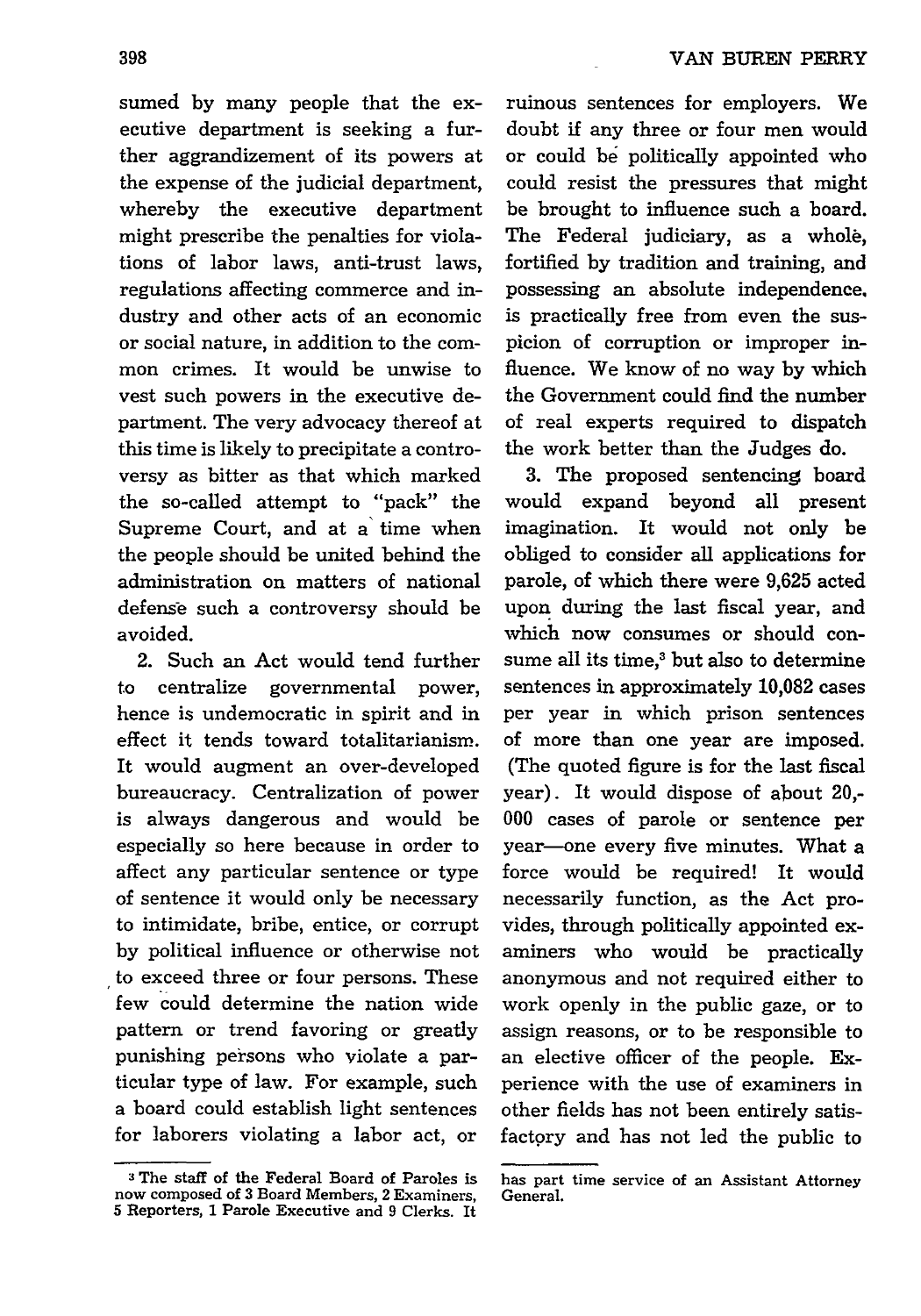VAN BUREN PERRY

sumed by many people that the executive department is seeking a further aggrandizement of its powers at the expense of the judicial department, whereby the executive department might prescribe the penalties for violations of labor laws, anti-trust laws, regulations affecting commerce and industry and other acts of an economic or social nature, in addition to the common crimes. It would be unwise to vest such powers in the executive department. The very advocacy thereof at this time is likely to precipitate a controversy as bitter as that which marked the so-called attempt to "pack" the Supreme Court, and at a' time when the people should be united behind the administration on matters of national defense such a controversy should be avoided.

2. Such an Act would tend further to centralize governmental power, hence is undemocratic in spirit and in effect it tends toward totalitarianism. It would augment an over-developed bureaucracy. Centralization of power is always dangerous and would be especially so here because in order to affect any particular sentence or type of sentence it would only be necessary to intimidate, bribe, entice, or corrupt by political influence or otherwise not to exceed three or four persons. These few could determine the nation wide pattern or trend favoring or greatly punishing persons who violate a particular type of law. For example, such a board could establish light sentences for laborers violating a labor act, or

ruinous sentences for employers. We doubt if any three or four men would or could be politically appointed who could resist the pressures that might be brought to influence such a board. The Federal judiciary, as a whole, fortified by tradition and training, and possessing an absolute independence, is practically free from even the suspicion of corruption or improper influence. We know of no way by which the Government could find the number of real experts required to dispatch the work better than the Judges do.

3. The proposed sentencing board would expand beyond all present imagination. It would not only be obliged to consider all applications for parole, of which there were 9,625 acted upon during the last fiscal year, and which now consumes or should consume all its time,<sup>3</sup> but also to determine sentences in approximately 10,082 cases per year in which prison sentences of more than one year are imposed. (The quoted figure is for the last fiscal year). It would dispose of about 20,- 000 cases of parole or sentence per year-one every five minutes. What a force would be required! It would necessarily function, as the Act provides, through politically appointed examiners who would be practically anonymous and not required either to work openly in the public gaze, or to assign reasons, or to be responsible to an elective officer of the people. Experience with the use of examiners in other fields has not been entirely satisfactory and has not led the public to

<sup>3</sup>The staff of the Federal Board of Paroles is now composed of **3** Board Members, 2 Examiners, **5** Reporters, **1** Parole Executive and **9** Clerks. It

has part time service of an Assistant Attorney General.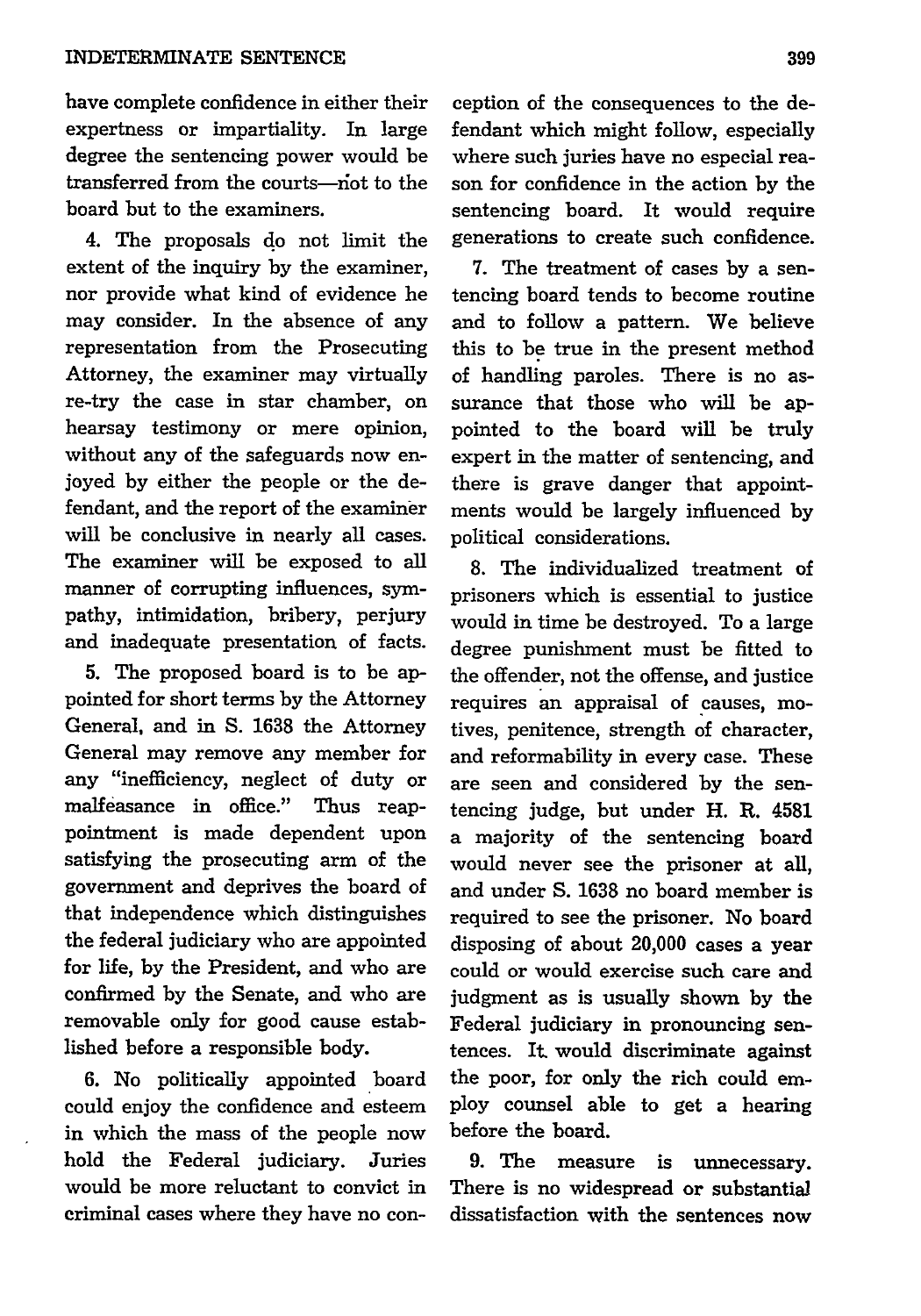have complete confidence in either their expertness or impartiality. In large degree the sentencing power would be transferred from the courts-iot to the board but to the examiners.

4. The proposals **do** not limit the extent of the inquiry by the examiner, nor provide what kind of evidence he may consider. In the absence of any representation from the Prosecuting Attorney, the examiner may virtually re-try the case in star chamber, on hearsay testimony or mere opinion, without any of the safeguards now enjoyed by either the people or the defendant, and the report of the examiner will be conclusive in nearly all cases. The examiner will be exposed to all manner of corrupting influences, sympathy, intimidation, bribery, perjury and inadequate presentation of facts.

5. The proposed board is to be **ap**pointed for short terms by the Attorney General, and in S. 1638 the Attorney General may remove any member for any "inefficiency, neglect of duty or malfeasance in office." Thus reappointment is made dependent upon satisfying the prosecuting arm of the government and deprives the board of that independence which distinguishes the federal judiciary who are appointed for life, by the President, and who are confirmed **by** the Senate, and who are removable only for good cause established before a responsible body.

**6.** No politically appointed board could enjoy the confidence and esteem in which the mass of the people now hold the Federal judiciary. Juries would be more reluctant to convict in criminal cases where they have no conception of the consequences to the defendant which might follow, especially where such juries have no especial reason for confidence in the action **by** the sentencing board. It would require generations to create such confidence.

**7.** The treatment of cases **by** a sentencing board tends to become routine and to follow a pattern. We believe this to be true in the present method of handling paroles. There is no assurance that those who will be appointed to the board will be truly expert in the matter of sentencing, and there is grave danger that appointments would be largely influenced **by** political considerations.

**8.** The individualized treatment of prisoners which is essential to justice would in time be destroyed. To a large degree punishment must be fitted to the offender, not the offense, and justice requires an appraisal of causes, **mo**tives, penitence, strength of character, and reformability in every case. These are seen and considered **by** the sentencing judge, but under H. R. 4581 a majority of the sentencing board would never see the prisoner at all, and under **S. 1638** no board member is required to see the prisoner. No board disposing of about 20,000 cases a year could or would exercise such care and judgment as is usually shown **by** the Federal judiciary in pronouncing sentences. It would discriminate against the poor, for only the rich could employ counsel able to get a hearing before the board.

**9.** The measure is unnecessary. There is no widespread or substantial dissatisfaction with the sentences now